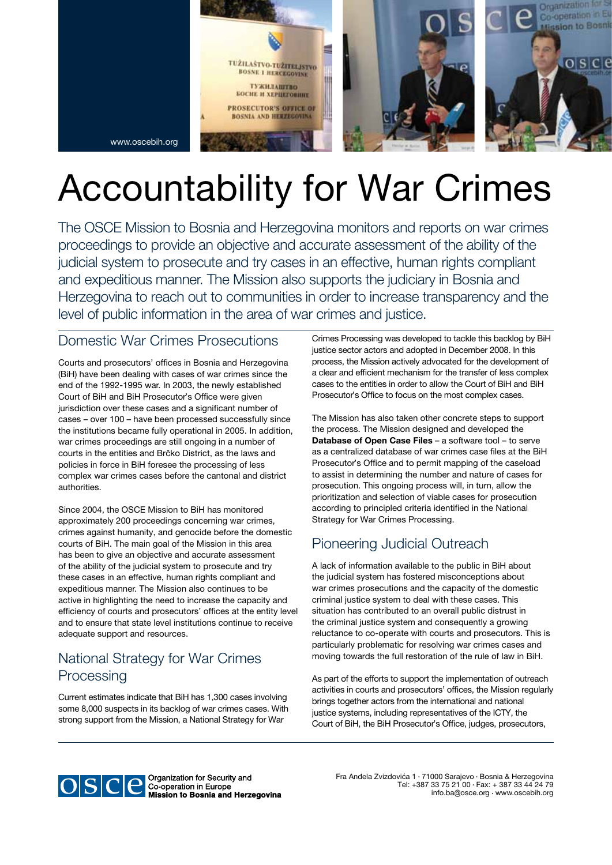

# Accountability for War Crimes

The OSCE Mission to Bosnia and Herzegovina monitors and reports on war crimes proceedings to provide an objective and accurate assessment of the ability of the judicial system to prosecute and try cases in an effective, human rights compliant and expeditious manner. The Mission also supports the judiciary in Bosnia and Herzegovina to reach out to communities in order to increase transparency and the level of public information in the area of war crimes and justice.

#### Domestic War Crimes Prosecutions

Courts and prosecutors' offices in Bosnia and Herzegovina (BiH) have been dealing with cases of war crimes since the end of the 1992-1995 war. In 2003, the newly established Court of BiH and BiH Prosecutor's Office were given jurisdiction over these cases and a significant number of cases – over 100 – have been processed successfully since the institutions became fully operational in 2005. In addition, war crimes proceedings are still ongoing in a number of courts in the entities and Brčko District, as the laws and policies in force in BiH foresee the processing of less complex war crimes cases before the cantonal and district authorities.

Since 2004, the OSCE Mission to BiH has monitored approximately 200 proceedings concerning war crimes, crimes against humanity, and genocide before the domestic courts of BiH. The main goal of the Mission in this area has been to give an objective and accurate assessment of the ability of the judicial system to prosecute and try these cases in an effective, human rights compliant and expeditious manner. The Mission also continues to be active in highlighting the need to increase the capacity and efficiency of courts and prosecutors' offices at the entity level and to ensure that state level institutions continue to receive adequate support and resources.

### National Strategy for War Crimes **Processing**

Current estimates indicate that BiH has 1,300 cases involving some 8,000 suspects in its backlog of war crimes cases. With strong support from the Mission, a National Strategy for War

Crimes Processing was developed to tackle this backlog by BiH justice sector actors and adopted in December 2008. In this process, the Mission actively advocated for the development of a clear and efficient mechanism for the transfer of less complex cases to the entities in order to allow the Court of BiH and BiH Prosecutor's Office to focus on the most complex cases.

The Mission has also taken other concrete steps to support the process. The Mission designed and developed the Database of Open Case Files – a software tool – to serve as a centralized database of war crimes case files at the BiH Prosecutor's Office and to permit mapping of the caseload to assist in determining the number and nature of cases for prosecution. This ongoing process will, in turn, allow the prioritization and selection of viable cases for prosecution according to principled criteria identified in the National Strategy for War Crimes Processing.

### Pioneering Judicial Outreach

A lack of information available to the public in BiH about the judicial system has fostered misconceptions about war crimes prosecutions and the capacity of the domestic criminal justice system to deal with these cases. This situation has contributed to an overall public distrust in the criminal justice system and consequently a growing reluctance to co-operate with courts and prosecutors. This is particularly problematic for resolving war crimes cases and moving towards the full restoration of the rule of law in BiH.

As part of the efforts to support the implementation of outreach activities in courts and prosecutors' offices, the Mission regularly brings together actors from the international and national justice systems, including representatives of the ICTY, the Court of BiH, the BiH Prosecutor's Office, judges, prosecutors,



**Mission to Bosnia and Herzegovina** 

Fra Anđela Zvizdovića 1 • 71000 Sarajevo • Bosnia & Herzegovina Tel: +387 33 75 21 00 • Fax: + 387 33 44 24 79 info.ba*@*osce.org • www.oscebih.org